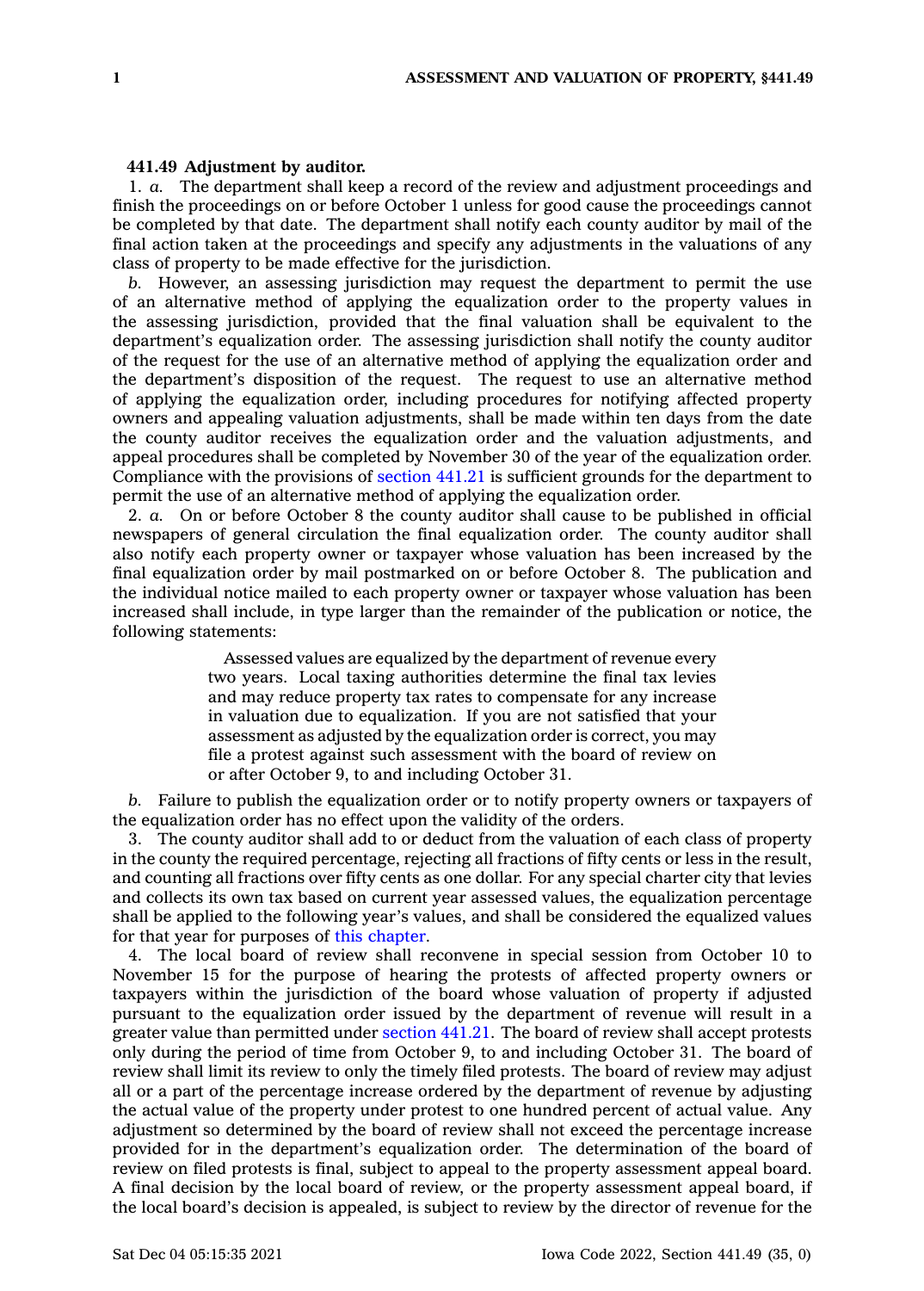## **441.49 Adjustment by auditor.**

1. *a.* The department shall keep <sup>a</sup> record of the review and adjustment proceedings and finish the proceedings on or before October 1 unless for good cause the proceedings cannot be completed by that date. The department shall notify each county auditor by mail of the final action taken at the proceedings and specify any adjustments in the valuations of any class of property to be made effective for the jurisdiction.

*b.* However, an assessing jurisdiction may request the department to permit the use of an alternative method of applying the equalization order to the property values in the assessing jurisdiction, provided that the final valuation shall be equivalent to the department's equalization order. The assessing jurisdiction shall notify the county auditor of the request for the use of an alternative method of applying the equalization order and the department's disposition of the request. The request to use an alternative method of applying the equalization order, including procedures for notifying affected property owners and appealing valuation adjustments, shall be made within ten days from the date the county auditor receives the equalization order and the valuation adjustments, and appeal procedures shall be completed by November 30 of the year of the equalization order. Compliance with the provisions of [section](https://www.legis.iowa.gov/docs/code/441.21.pdf) 441.21 is sufficient grounds for the department to permit the use of an alternative method of applying the equalization order.

2. *a.* On or before October 8 the county auditor shall cause to be published in official newspapers of general circulation the final equalization order. The county auditor shall also notify each property owner or taxpayer whose valuation has been increased by the final equalization order by mail postmarked on or before October 8. The publication and the individual notice mailed to each property owner or taxpayer whose valuation has been increased shall include, in type larger than the remainder of the publication or notice, the following statements:

> Assessed values are equalized by the department of revenue every two years. Local taxing authorities determine the final tax levies and may reduce property tax rates to compensate for any increase in valuation due to equalization. If you are not satisfied that your assessment as adjusted by the equalization order is correct, you may file <sup>a</sup> protest against such assessment with the board of review on or after October 9, to and including October 31.

*b.* Failure to publish the equalization order or to notify property owners or taxpayers of the equalization order has no effect upon the validity of the orders.

3. The county auditor shall add to or deduct from the valuation of each class of property in the county the required percentage, rejecting all fractions of fifty cents or less in the result, and counting all fractions over fifty cents as one dollar. For any special charter city that levies and collects its own tax based on current year assessed values, the equalization percentage shall be applied to the following year's values, and shall be considered the equalized values for that year for purposes of this [chapter](https://www.legis.iowa.gov/docs/code//441.pdf).

4. The local board of review shall reconvene in special session from October 10 to November 15 for the purpose of hearing the protests of affected property owners or taxpayers within the jurisdiction of the board whose valuation of property if adjusted pursuant to the equalization order issued by the department of revenue will result in <sup>a</sup> greater value than permitted under [section](https://www.legis.iowa.gov/docs/code/441.21.pdf) 441.21. The board of review shall accept protests only during the period of time from October 9, to and including October 31. The board of review shall limit its review to only the timely filed protests. The board of review may adjust all or <sup>a</sup> part of the percentage increase ordered by the department of revenue by adjusting the actual value of the property under protest to one hundred percent of actual value. Any adjustment so determined by the board of review shall not exceed the percentage increase provided for in the department's equalization order. The determination of the board of review on filed protests is final, subject to appeal to the property assessment appeal board. A final decision by the local board of review, or the property assessment appeal board, if the local board's decision is appealed, is subject to review by the director of revenue for the